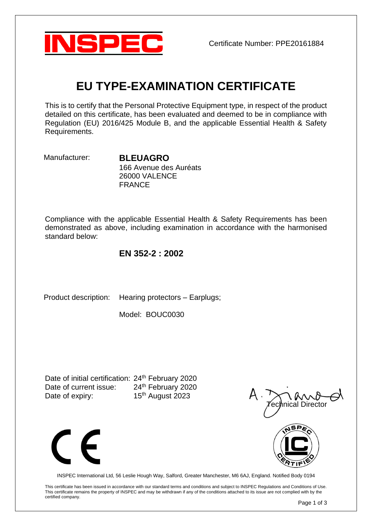

# **EU TYPE-EXAMINATION CERTIFICATE**

This is to certify that the Personal Protective Equipment type, in respect of the product detailed on this certificate, has been evaluated and deemed to be in compliance with Regulation (EU) 2016/425 Module B, and the applicable Essential Health & Safety Requirements.

Manufacturer: **BLEUAGRO**

166 Avenue des Auréats 26000 VALENCE FRANCE

Compliance with the applicable Essential Health & Safety Requirements has been demonstrated as above, including examination in accordance with the harmonised standard below:

## **EN 352-2 : 2002**

Product description: Hearing protectors – Earplugs;

Model: BOUC0030

Date of initial certification: 24<sup>th</sup> February 2020 Date of current issue: 24<sup>th</sup> February 2020 Date of expiry: 15<sup>th</sup> August 2023







INSPEC International Ltd, 56 Leslie Hough Way, Salford, Greater Manchester, M6 6AJ, England. Notified Body 0194

This certificate has been issued in accordance with our standard terms and conditions and subject to INSPEC Regulations and Conditions of Use. This certificate remains the property of INSPEC and may be withdrawn if any of the conditions attached to its issue are not complied with by the certified company.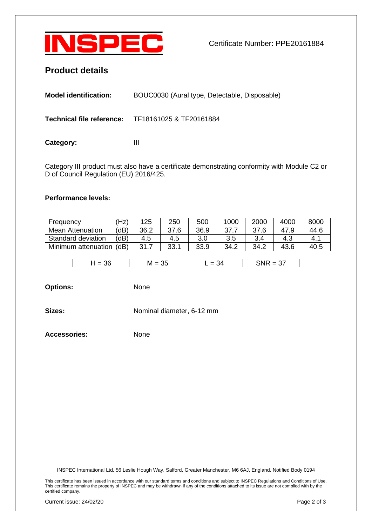

## **Product details**

| <b>Model identification:</b> | BOUC0030 (Aural type, Detectable, Disposable)            |
|------------------------------|----------------------------------------------------------|
|                              | <b>Technical file reference:</b> TF18161025 & TF20161884 |
| Category:                    | Ш                                                        |

Category III product must also have a certificate demonstrating conformity with Module C2 or D of Council Regulation (EU) 2016/425.

#### **Performance levels:**

| Frequency               | 'Hz) | 125  | 250  | 500  | 1000 | 2000 | 400C | 8000 |
|-------------------------|------|------|------|------|------|------|------|------|
| <b>Mean Attenuation</b> | dB   | 36.2 | 37.6 | 36.9 | 37.7 | 37.6 | 47.9 | 44.6 |
| Standard deviation      | dB'  | 4.5  | 4.5  |      | 3.5  | 3.4  |      | 4.   |
| Minimum attenuation     | (dB) | 31.7 | 33.1 | 33.9 | 34.2 | 34.2 | 43.6 | 40.5 |

| ৴<br>– | ື | - |  |
|--------|---|---|--|
|        |   |   |  |

**Options:** None

**Sizes:** Nominal diameter, 6-12 mm

**Accessories:** None

INSPEC International Ltd, 56 Leslie Hough Way, Salford, Greater Manchester, M6 6AJ, England. Notified Body 0194

This certificate has been issued in accordance with our standard terms and conditions and subject to INSPEC Regulations and Conditions of Use. This certificate remains the property of INSPEC and may be withdrawn if any of the conditions attached to its issue are not complied with by the certified company.